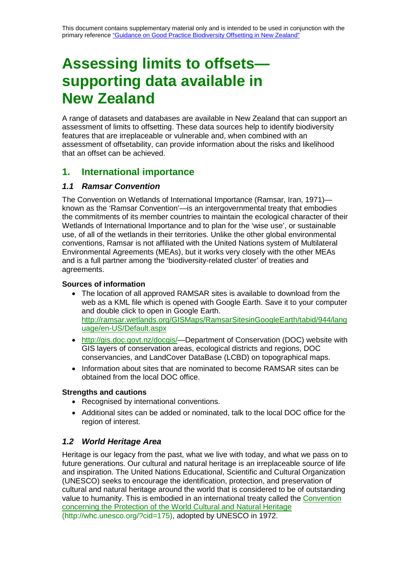# **Assessing limits to offsets supporting data available in New Zealand**

A range of datasets and databases are available in New Zealand that can support an assessment of limits to offsetting. These data sources help to identify biodiversity features that are irreplaceable or vulnerable and, when combined with an assessment of offsetability, can provide information about the risks and likelihood that an offset can be achieved.

# **1. International importance**

# *1.1 Ramsar Convention*

The Convention on Wetlands of International Importance (Ramsar, Iran, 1971) known as the 'Ramsar Convention'—is an intergovernmental treaty that embodies the commitments of its member countries to maintain the ecological character of their Wetlands of International Importance and to plan for the 'wise use', or sustainable use, of all of the wetlands in their territories. Unlike the other global environmental conventions, Ramsar is not affiliated with the United Nations system of Multilateral Environmental Agreements (MEAs), but it works very closely with the other MEAs and is a full partner among the 'biodiversity-related cluster' of treaties and agreements.

# **Sources of information**

- The location of all approved RAMSAR sites is available to download from the web as a KML file which is opened with Google Earth. Save it to your computer and double click to open in Google Earth. [http://ramsar.wetlands.org/GISMaps/RamsarSitesinGoogleEarth/tabid/944/lang](http://ramsar.wetlands.org/GISMaps/RamsarSitesinGoogleEarth/tabid/944/language/en-US/Default.aspx) [uage/en-US/Default.aspx](http://ramsar.wetlands.org/GISMaps/RamsarSitesinGoogleEarth/tabid/944/language/en-US/Default.aspx)
- http://gis.doc.govt.nz/docgis/-Department of Conservation (DOC) website with GIS layers of conservation areas, ecological districts and regions, DOC conservancies, and LandCover DataBase (LCBD) on topographical maps.
- Information about sites that are nominated to become RAMSAR sites can be obtained from the local DOC office.

# **Strengths and cautions**

- Recognised by international conventions.
- Additional sites can be added or nominated, talk to the local DOC office for the region of interest.

# *1.2 World Heritage Area*

Heritage is our legacy from the past, what we live with today, and what we pass on to future generations. Our cultural and natural heritage is an irreplaceable source of life and inspiration. The United Nations Educational, Scientific and Cultural Organization (UNESCO) seeks to encourage the identification, protection, and preservation of cultural and natural heritage around the world that is considered to be of outstanding value to humanity. This is embodied in an international treaty called the [Convention](http://whc.unesco.org/?cid=175)  [concerning the Protection of the World Cultural and Natural Heritage](http://whc.unesco.org/?cid=175) [\(http://whc.unesco.org/?cid=175\)](http://whc.unesco.org/?cid=175), adopted by UNESCO in 1972.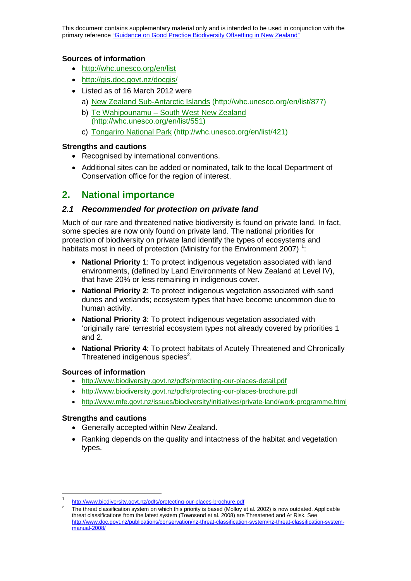This document contains supplementary material only and is intended to be used in conjunction with the primary reference ["Guidance on Good Practice Biodiversity Offsetting in New Zealand"](http://www.doc.govt.nz/documents/our-work/biodiversity-offsets/the-guidance.pdf)

#### **Sources of information**

- <http://whc.unesco.org/en/list>
- <http://gis.doc.govt.nz/docgis/>
- Listed as of 16 March 2012 were
	- a) [New Zealand Sub-Antarctic Islands](http://whc.unesco.org/en/list/877) [\(http://whc.unesco.org/en/list/877\)](http://whc.unesco.org/en/list/877)
	- b) Te Wahipounamu [South West New Zealand](http://whc.unesco.org/en/list/551) [\(http://whc.unesco.org/en/list/551\)](http://whc.unesco.org/en/list/551)
	- c) [Tongariro National Park](http://whc.unesco.org/en/list/421) [\(http://whc.unesco.org/en/list/421\)](http://whc.unesco.org/en/list/421)

#### **Strengths and cautions**

- Recognised by international conventions.
- Additional sites can be added or nominated, talk to the local Department of Conservation office for the region of interest.

# **2. National importance**

## *2.1 Recommended for protection on private land*

Much of our rare and threatened native biodiversity is found on private land. In fact, some species are now only found on private land. The national priorities for protection of biodiversity on private land identify the types of ecosystems and habitats most in need of protection (Ministry for the Environment 2007)<sup>1</sup>:

- **National Priority 1**: To protect indigenous vegetation associated with land environments, (defined by Land Environments of New Zealand at Level IV), that have 20% or less remaining in indigenous cover.
- **National Priority 2**: To protect indigenous vegetation associated with sand dunes and wetlands; ecosystem types that have become uncommon due to human activity.
- **National Priority 3**: To protect indigenous vegetation associated with 'originally rare' terrestrial ecosystem types not already covered by priorities 1 and 2.
- **National Priority 4**: To protect habitats of Acutely Threatened and Chronically Threatened indigenous species $^2$ .

#### **Sources of information**

- <http://www.biodiversity.govt.nz/pdfs/protecting-our-places-detail.pdf>
- <http://www.biodiversity.govt.nz/pdfs/protecting-our-places-brochure.pdf>
- <http://www.mfe.govt.nz/issues/biodiversity/initiatives/private-land/work-programme.html>

- Generally accepted within New Zealand.
- Ranking depends on the quality and intactness of the habitat and vegetation types.

 <sup>1</sup> <http://www.biodiversity.govt.nz/pdfs/protecting-our-places-brochure.pdf>

<sup>2</sup> The threat classification system on which this priority is based (Molloy et al. 2002) is now outdated. Applicable threat classifications from the latest system (Townsend et al. 2008) are Threatened and At Risk. See [http://www.doc.govt.nz/publications/conservation/nz-threat-classification-system/nz-threat-classification-system](http://www.doc.govt.nz/publications/conservation/nz-threat-classification-system/nz-threat-classification-system-manual-2008/)[manual-2008/](http://www.doc.govt.nz/publications/conservation/nz-threat-classification-system/nz-threat-classification-system-manual-2008/)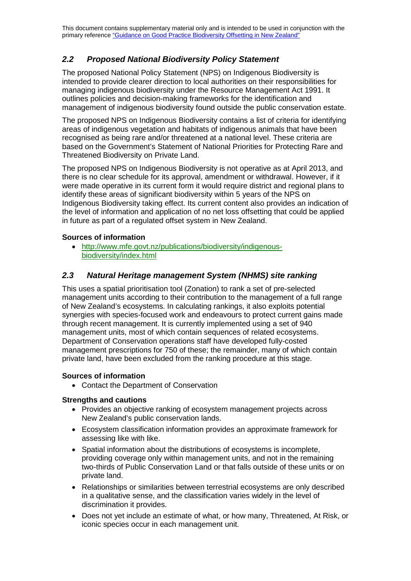# *2.2 Proposed National Biodiversity Policy Statement*

The proposed National Policy Statement (NPS) on Indigenous Biodiversity is intended to provide clearer direction to local authorities on their responsibilities for managing indigenous biodiversity under the Resource Management Act 1991. It outlines policies and decision-making frameworks for the identification and management of indigenous biodiversity found outside the public conservation estate.

The proposed NPS on Indigenous Biodiversity contains a list of criteria for identifying areas of indigenous vegetation and habitats of indigenous animals that have been recognised as being rare and/or threatened at a national level. These criteria are based on the Government's [Statement of National Priorities for Protecting Rare and](https://www.biodiversity.govt.nz/pdfs/protecting-our-places-brochure.pdf)  [Threatened Biodiversity on Private Land.](https://www.biodiversity.govt.nz/pdfs/protecting-our-places-brochure.pdf)

The proposed NPS on Indigenous Biodiversity is not operative as at April 2013, and there is no clear schedule for its approval, amendment or withdrawal. However, if it were made operative in its current form it would require district and regional plans to identify these areas of significant biodiversity within 5 years of the NPS on Indigenous Biodiversity taking effect. Its current content also provides an indication of the level of information and application of no net loss offsetting that could be applied in future as part of a regulated offset system in New Zealand.

# **Sources of information**

• [http://www.mfe.govt.nz/publications/biodiversity/indigenous](http://www.mfe.govt.nz/publications/biodiversity/indigenous-biodiversity/index.html)[biodiversity/index.html](http://www.mfe.govt.nz/publications/biodiversity/indigenous-biodiversity/index.html)

# *2.3 Natural Heritage management System (NHMS) site ranking*

This uses a spatial prioritisation tool (Zonation) to rank a set of pre-selected management units according to their contribution to the management of a full range of New Zealand's ecosystems. In calculating rankings, it also exploits potential synergies with species-focused work and endeavours to protect current gains made through recent management. It is currently implemented using a set of 940 management units, most of which contain sequences of related ecosystems. Department of Conservation operations staff have developed fully-costed management prescriptions for 750 of these; the remainder, many of which contain private land, have been excluded from the ranking procedure at this stage.

#### **Sources of information**

• Contact the Department of Conservation

- Provides an objective ranking of ecosystem management projects across New Zealand's public conservation lands.
- Ecosystem classification information provides an approximate framework for assessing like with like.
- Spatial information about the distributions of ecosystems is incomplete, providing coverage only within management units, and not in the remaining two-thirds of Public Conservation Land or that falls outside of these units or on private land.
- Relationships or similarities between terrestrial ecosystems are only described in a qualitative sense, and the classification varies widely in the level of discrimination it provides.
- Does not yet include an estimate of what, or how many, Threatened, At Risk, or iconic species occur in each management unit.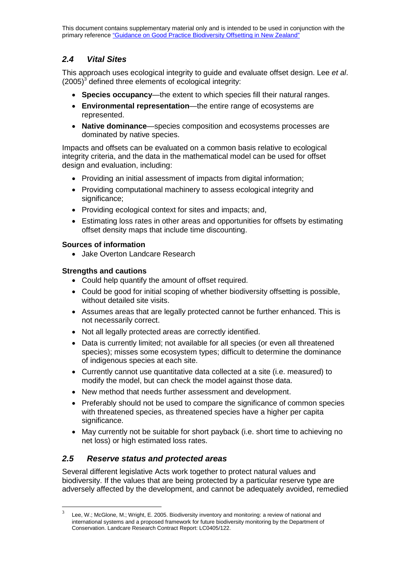# *2.4 Vital Sites*

This approach uses ecological integrity to guide and evaluate offset design. Lee *et al*.  $(2005)^3$  defined three elements of ecological integrity:

- **Species occupancy**—the extent to which species fill their natural ranges.
- **Environmental representation**—the entire range of ecosystems are represented.
- **Native dominance**—species composition and ecosystems processes are dominated by native species.

Impacts and offsets can be evaluated on a common basis relative to ecological integrity criteria, and the data in the mathematical model can be used for offset design and evaluation, including:

- Providing an initial assessment of impacts from digital information;
- Providing computational machinery to assess ecological integrity and significance;
- Providing ecological context for sites and impacts; and,
- Estimating loss rates in other areas and opportunities for offsets by estimating offset density maps that include time discounting.

## **Sources of information**

• Jake Overton Landcare Research

## **Strengths and cautions**

- Could help quantify the amount of offset required.
- Could be good for initial scoping of whether biodiversity offsetting is possible, without detailed site visits.
- Assumes areas that are legally protected cannot be further enhanced. This is not necessarily correct.
- Not all legally protected areas are correctly identified.
- Data is currently limited; not available for all species (or even all threatened species); misses some ecosystem types; difficult to determine the dominance of indigenous species at each site.
- Currently cannot use quantitative data collected at a site (i.e. measured) to modify the model, but can check the model against those data.
- New method that needs further assessment and development.
- Preferably should not be used to compare the significance of common species with threatened species, as threatened species have a higher per capita significance.
- May currently not be suitable for short payback (i.e. short time to achieving no net loss) or high estimated loss rates.

# *2.5 Reserve status and protected areas*

Several different legislative Acts work together to protect natural values and biodiversity. If the values that are being protected by a particular reserve type are adversely affected by the development, and cannot be adequately avoided, remedied

 $3$  Lee, W.; McGlone, M.; Wright, E. 2005. Biodiversity inventory and monitoring: a review of national and international systems and a proposed framework for future biodiversity monitoring by the Department of Conservation. Landcare Research Contract Report: LC0405/122.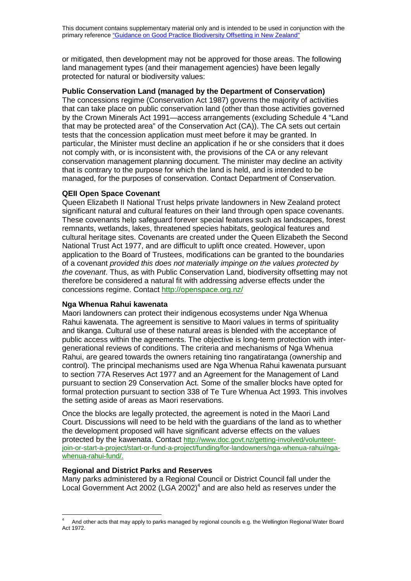or mitigated, then development may not be approved for those areas. The following land management types (and their management agencies) have been legally protected for natural or biodiversity values:

#### **Public Conservation Land (managed by the Department of Conservation)**

The concessions regime (Conservation Act 1987) governs the majority of activities that can take place on public conservation land (other than those activities governed by the Crown Minerals Act 1991—access arrangements (excluding Schedule 4 "Land that may be protected area" of the Conservation Act (CA)). The CA sets out certain tests that the concession application must meet before it may be granted. In particular, the Minister must decline an application if he or she considers that it does not comply with, or is inconsistent with, the provisions of the CA or any relevant conservation management planning document. The minister may decline an activity that is contrary to the purpose for which the land is held, and is intended to be managed, for the purposes of conservation. Contact Department of Conservation.

#### **QEII Open Space Covenant**

Queen Elizabeth II National Trust helps private landowners in New Zealand protect significant natural and cultural features on their land through open space covenants. These covenants help safeguard forever special features such as landscapes, forest remnants, wetlands, lakes, threatened species habitats, geological features and cultural heritage sites. Covenants are created under the Queen Elizabeth the Second National Trust Act 1977, and are difficult to uplift once created. However, upon application to the Board of Trustees, modifications can be granted to the boundaries of a covenant *provided this does not materially impinge on the values protected by the covenant*. Thus, as with Public Conservation Land, biodiversity offsetting may not therefore be considered a natural fit with addressing adverse effects under the concessions regime. Contact http://openspace.org.nz/

#### **Nga Whenua Rahui kawenata**

Maori landowners can protect their indigenous ecosystems under Nga Whenua Rahui kawenata. The agreement is sensitive to Maori values in terms of spirituality and tikanga. Cultural use of these natural areas is blended with the acceptance of public access within the agreements. The objective is long-term protection with intergenerational reviews of conditions. The criteria and mechanisms of Nga Whenua Rahui, are geared towards the owners retaining tino rangatiratanga (ownership and control). The principal mechanisms used are Nga Whenua Rahui kawenata pursuant to section 77A Reserves Act 1977 and an Agreement for the Management of Land pursuant to section 29 Conservation Act. Some of the smaller blocks have opted for formal protection pursuant to section 338 of Te Ture Whenua Act 1993. This involves the setting aside of areas as Maori reservations.

Once the blocks are legally protected, the agreement is noted in the Maori Land Court. Discussions will need to be held with the guardians of the land as to whether the development proposed will have significant adverse effects on the values protected by the kawenata. Contact http://www.doc.govt.nz/getting-involved/volunteerjoin-or-start-a-project/start-or-fund-a-project/funding/for-landowners/nga-whenua-rahui/ngawhenua-rahui-fund/.

#### **Regional and District Parks and Reserves**

Many parks administered by a Regional Council or District Council fall under the Local Government Act 2002 (LGA 2002)<sup>4</sup> and are also held as reserves under the

And other acts that may apply to parks managed by regional councils e.g. the Wellington Regional Water Board Act 1972.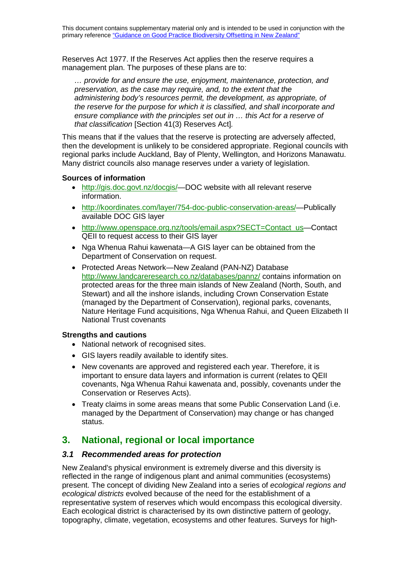Reserves Act 1977. If the Reserves Act applies then the reserve requires a management plan. The purposes of these plans are to:

*… provide for and ensure the use, enjoyment, maintenance, protection, and preservation, as the case may require, and, to the extent that the administering body's resources permit, the development, as appropriate, of the reserve for the purpose for which it is classified, and shall incorporate and ensure compliance with the principles set out in … this Act for a reserve of that classification* [Section 41(3) Reserves Act]*.*

This means that if the values that the reserve is protecting are adversely affected, then the development is unlikely to be considered appropriate. Regional councils with regional parks include Auckland, Bay of Plenty, Wellington, and Horizons Manawatu. Many district councils also manage reserves under a variety of legislation.

#### **Sources of information**

- http://gis.doc.govt.nz/docgis/-DOC website with all relevant reserve information.
- [http://koordinates.com/layer/754-doc-public-conservation-areas/—](http://koordinates.com/layer/754-doc-public-conservation-areas/)Publically available DOC GIS layer
- http://www.openspace.org.nz/tools/email.aspx?SECT=Contact\_us-Contact QEII to request access to their GIS layer
- Nga Whenua Rahui kawenata—A GIS layer can be obtained from the Department of Conservation on request.
- Protected Areas Network—New Zealand (PAN-NZ) Database <http://www.landcareresearch.co.nz/databases/pannz/> contains information on protected areas for the three main islands of New Zealand (North, South, and Stewart) and all the inshore islands, including Crown Conservation Estate (managed by the [Department of Conservation\)](http://www.doc.govt.nz/), regional parks, covenants, [Nature Heritage Fund](http://www.doc.govt.nz/templates/page.aspx?id=39023) acquisitions, [Nga Whenua Rahui,](http://www.doc.govt.nz/templates/page.aspx?id=43144) and [Queen Elizabeth II](http://www.openspace.org.nz/)  [National Trust](http://www.openspace.org.nz/) covenants

#### **Strengths and cautions**

- National network of recognised sites.
- GIS layers readily available to identify sites.
- New covenants are approved and registered each year. Therefore, it is important to ensure data layers and information is current (relates to QEII covenants, Nga Whenua Rahui kawenata and, possibly, covenants under the Conservation or Reserves Acts).
- Treaty claims in some areas means that some Public Conservation Land (i.e. managed by the Department of Conservation) may change or has changed status.

# **3. National, regional or local importance**

#### *3.1 Recommended areas for protection*

New Zealand's physical environment is extremely diverse and this diversity is reflected in the range of indigenous plant and animal communities (ecosystems) present. The concept of dividing New Zealand into a series of *ecological regions and ecological districts* evolved because of the need for the establishment of a representative system of reserves which would encompass this ecological diversity. Each ecological district is characterised by its own distinctive pattern of geology, topography, climate, vegetation, ecosystems and other features. Surveys for high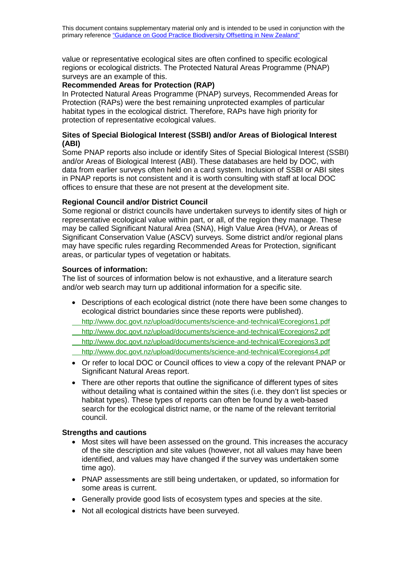value or representative ecological sites are often confined to specific ecological regions or ecological districts. The Protected Natural Areas Programme (PNAP) surveys are an example of this.

## **Recommended Areas for Protection (RAP)**

In Protected Natural Areas Programme (PNAP) surveys, Recommended Areas for Protection (RAPs) were the best remaining unprotected examples of particular habitat types in the ecological district. Therefore, RAPs have high priority for protection of representative ecological values.

#### **Sites of Special Biological Interest (SSBI) and/or Areas of Biological Interest (ABI)**

Some PNAP reports also include or identify Sites of Special Biological Interest (SSBI) and/or Areas of Biological Interest (ABI). These databases are held by DOC, with data from earlier surveys often held on a card system. Inclusion of SSBI or ABI sites in PNAP reports is not consistent and it is worth consulting with staff at local DOC offices to ensure that these are not present at the development site.

## **Regional Council and/or District Council**

Some regional or district councils have undertaken surveys to identify sites of high or representative ecological value within part, or all, of the region they manage. These may be called Significant Natural Area (SNA), High Value Area (HVA), or Areas of Significant Conservation Value (ASCV) surveys. Some district and/or regional plans may have specific rules regarding Recommended Areas for Protection, significant areas, or particular types of vegetation or habitats.

#### **Sources of information:**

The list of sources of information below is not exhaustive, and a literature search and/or web search may turn up additional information for a specific site.

- Descriptions of each ecological district (note there have been some changes to ecological district boundaries since these reports were published).
- <http://www.doc.govt.nz/upload/documents/science-and-technical/Ecoregions1.pdf>
- <http://www.doc.govt.nz/upload/documents/science-and-technical/Ecoregions2.pdf>
- <http://www.doc.govt.nz/upload/documents/science-and-technical/Ecoregions3.pdf>
- <http://www.doc.govt.nz/upload/documents/science-and-technical/Ecoregions4.pdf>
- Or refer to local DOC or Council offices to view a copy of the relevant PNAP or Significant Natural Areas report.
- There are other reports that outline the significance of different types of sites without detailing what is contained within the sites (i.e. they don't list species or habitat types). These types of reports can often be found by a web-based search for the ecological district name, or the name of the relevant territorial council.

- Most sites will have been assessed on the ground. This increases the accuracy of the site description and site values (however, not all values may have been identified, and values may have changed if the survey was undertaken some time ago).
- PNAP assessments are still being undertaken, or updated, so information for some areas is current.
- Generally provide good lists of ecosystem types and species at the site.
- Not all ecological districts have been surveyed.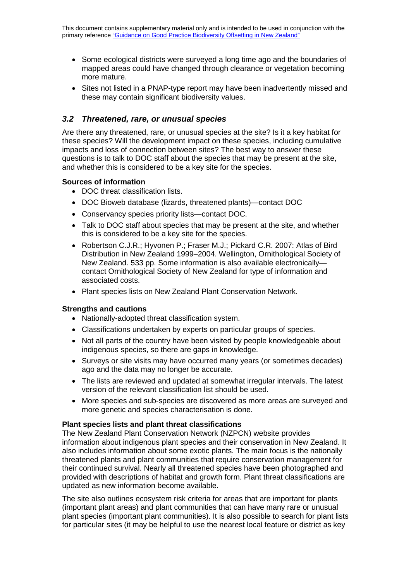- Some ecological districts were surveyed a long time ago and the boundaries of mapped areas could have changed through clearance or vegetation becoming more mature.
- Sites not listed in a PNAP-type report may have been inadvertently missed and these may contain significant biodiversity values.

# *3.2 Threatened, rare, or unusual species*

Are there any threatened, rare, or unusual species at the site? Is it a key habitat for these species? Will the development impact on these species, including cumulative impacts and loss of connection between sites? The best way to answer these questions is to talk to DOC staff about the species that may be present at the site, and whether this is considered to be a key site for the species.

#### **Sources of information**

- DOC threat classification lists.
- DOC Bioweb database (lizards, threatened plants)—contact DOC
- Conservancy species priority lists—contact DOC.
- Talk to DOC staff about species that may be present at the site, and whether this is considered to be a key site for the species.
- Robertson C.J.R.; Hyvonen P.; Fraser M.J.; Pickard C.R. 2007: Atlas of Bird Distribution in New Zealand 1999–2004. Wellington, Ornithological Society of New Zealand. 533 pp. Some information is also available electronically contact Ornithological Society of New Zealand for type of information and associated costs.
- Plant species lists on New Zealand Plant Conservation Network.

#### **Strengths and cautions**

- Nationally-adopted threat classification system.
- Classifications undertaken by experts on particular groups of species.
- Not all parts of the country have been visited by people knowledgeable about indigenous species, so there are gaps in knowledge.
- Surveys or site visits may have occurred many years (or sometimes decades) ago and the data may no longer be accurate.
- The lists are reviewed and updated at somewhat irregular intervals. The latest version of the relevant classification list should be used.
- More species and sub-species are discovered as more areas are surveyed and more genetic and species characterisation is done.

#### **Plant species lists and plant threat classifications**

The New Zealand Plant Conservation Network (NZPCN) website provides information about indigenous plant species and their conservation in New Zealand. It also includes information about some exotic plants. The main focus is the nationally threatened plants and plant communities that require conservation management for their continued survival. Nearly all threatened species have been photographed and provided with descriptions of habitat and growth form. Plant threat classifications are updated as new information become available.

The site also outlines ecosystem risk criteria for areas that are important for plants (important plant areas) and plant communities that can have many rare or unusual plant species (important plant communities). It is also possible to search for plant lists for particular sites (it may be helpful to use the nearest local feature or district as key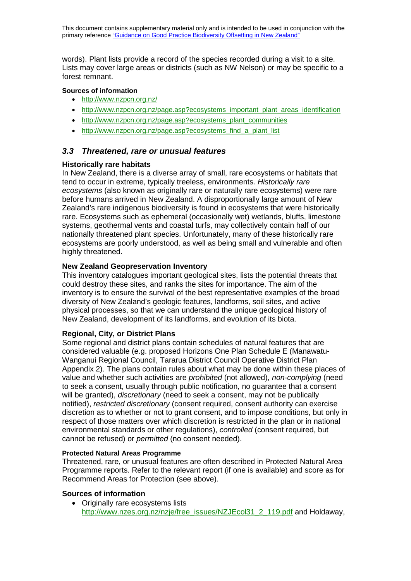words). Plant lists provide a record of the species recorded during a visit to a site. Lists may cover large areas or districts (such as NW Nelson) or may be specific to a forest remnant.

#### **Sources of information**

- <http://www.nzpcn.org.nz/>
- [http://www.nzpcn.org.nz/page.asp?ecosystems\\_important\\_plant\\_areas\\_identification](http://www.nzpcn.org.nz/page.asp?ecosystems_important_plant_areas_identification)
- [http://www.nzpcn.org.nz/page.asp?ecosystems\\_plant\\_communities](http://www.nzpcn.org.nz/page.asp?ecosystems_plant_communities)
- [http://www.nzpcn.org.nz/page.asp?ecosystems\\_find\\_a\\_plant\\_list](http://www.nzpcn.org.nz/page.asp?ecosystems_find_a_plant_list)

# *3.3 Threatened, rare or unusual features*

#### **Historically rare habitats**

In New Zealand, there is a diverse array of small, rare ecosystems or habitats that tend to occur in extreme, typically treeless, environments. *Historically rare ecosystems* (also known as originally rare or naturally rare ecosystems) were rare before humans arrived in New Zealand. A disproportionally large amount of New Zealand's rare indigenous biodiversity is found in ecosystems that were historically rare. Ecosystems such as ephemeral (occasionally wet) wetlands, bluffs, limestone systems, geothermal vents and coastal turfs, may collectively contain half of our nationally threatened plant species. Unfortunately, many of these historically rare ecosystems are poorly understood, as well as being small and vulnerable and often highly threatened.

#### **New Zealand Geopreservation Inventory**

This inventory catalogues important geological sites, lists the potential threats that could destroy these sites, and ranks the sites for importance. The aim of the inventory is to ensure the survival of the best representative examples of the broad diversity of New Zealand's geologic features, landforms, soil sites, and active physical processes, so that we can understand the unique geological history of New Zealand, development of its landforms, and evolution of its biota.

#### **Regional, City, or District Plans**

Some regional and district plans contain schedules of natural features that are considered valuable (e.g. proposed Horizons One Plan Schedule E (Manawatu-Wanganui Regional Council, Tararua District Council Operative District Plan Appendix 2). The plans contain rules about what may be done within these places of value and whether such activities are *prohibited* (not allowed), *non-complying* (need to seek a consent, usually through public notification, no guarantee that a consent will be granted), *discretionary* (need to seek a consent, may not be publically notified), *restricted discretionary* (consent required, consent authority can exercise discretion as to whether or not to grant consent, and to impose conditions, but only in respect of those matters over which discretion is restricted in the plan or in national environmental standards or other regulations), *controlled* (consent required, but cannot be refused) or *permitted* (no consent needed).

#### **Protected Natural Areas Programme**

Threatened, rare, or unusual features are often described in Protected Natural Area Programme reports. Refer to the relevant report (if one is available) and score as for Recommend Areas for Protection (see above).

#### **Sources of information**

• Originally rare ecosystems lists [http://www.nzes.org.nz/nzje/free\\_issues/NZJEcol31\\_2\\_119.pdf](http://www.nzes.org.nz/nzje/free_issues/NZJEcol31_2_119.pdf) and Holdaway,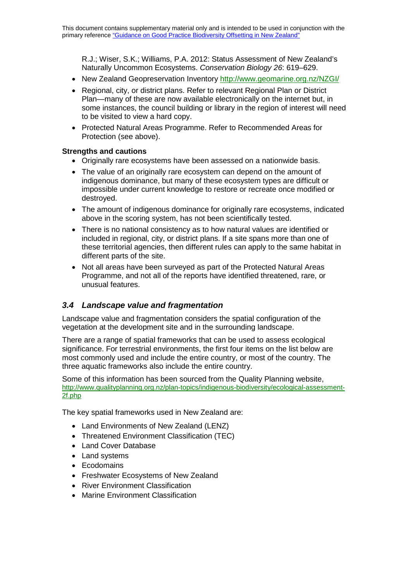R.J.; Wiser, S.K.; Williams, P.A. 2012: Status Assessment of New Zealand's Naturally Uncommon Ecosystems. *Conservation Biology 26*: 619–629.

- New Zealand Geopreservation Inventory<http://www.geomarine.org.nz/NZGI/>
- Regional, city, or district plans. Refer to relevant Regional Plan or District Plan—many of these are now available electronically on the internet but, in some instances, the council building or library in the region of interest will need to be visited to view a hard copy.
- Protected Natural Areas Programme. Refer to Recommended Areas for Protection (see above).

#### **Strengths and cautions**

- Originally rare ecosystems have been assessed on a nationwide basis.
- The value of an originally rare ecosystem can depend on the amount of indigenous dominance, but many of these ecosystem types are difficult or impossible under current knowledge to restore or recreate once modified or destroyed.
- The amount of indigenous dominance for originally rare ecosystems, indicated above in the scoring system, has not been scientifically tested.
- There is no national consistency as to how natural values are identified or included in regional, city, or district plans. If a site spans more than one of these territorial agencies, then different rules can apply to the same habitat in different parts of the site.
- Not all areas have been surveyed as part of the Protected Natural Areas Programme, and not all of the reports have identified threatened, rare, or unusual features.

# *3.4 Landscape value and fragmentation*

Landscape value and fragmentation considers the spatial configuration of the vegetation at the development site and in the surrounding landscape.

There are a range of spatial frameworks that can be used to assess ecological significance. For terrestrial environments, the first four items on the list below are most commonly used and include the entire country, or most of the country. The three aquatic frameworks also include the entire country.

Some of this information has been sourced from the Quality Planning website, [http://www.qualityplanning.org.nz/plan-topics/indigenous-biodiversity/ecological-assessment-](http://www.qualityplanning.org.nz/plan-topics/indigenous-biodiversity/ecological-assessment-2f.php)[2f.php](http://www.qualityplanning.org.nz/plan-topics/indigenous-biodiversity/ecological-assessment-2f.php)

The key spatial frameworks used in New Zealand are:

- Land Environments of New Zealand (LENZ)
- Threatened Environment Classification (TEC)
- Land Cover Database
- Land systems
- Ecodomains
- Freshwater Ecosystems of New Zealand
- River Environment Classification
- Marine Environment Classification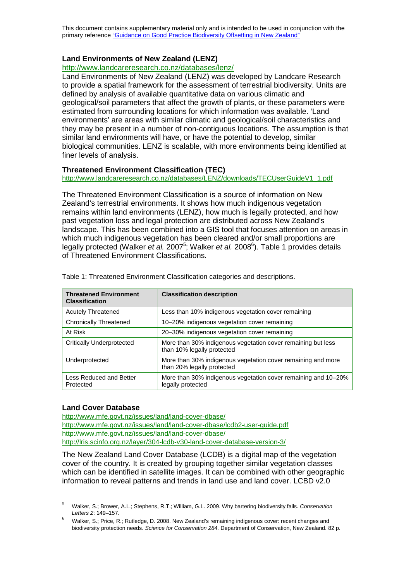This document contains supplementary material only and is intended to be used in conjunction with the primary reference ["Guidance on Good Practice Biodiversity Offsetting in New Zealand"](http://www.doc.govt.nz/documents/our-work/biodiversity-offsets/the-guidance.pdf)

## **Land Environments of New Zealand (LENZ)**

<http://www.landcareresearch.co.nz/databases/lenz/>

Land Environments of New Zealand (LENZ) was developed by Landcare Research to provide a spatial framework for the assessment of terrestrial biodiversity. Units are defined by analysis of available quantitative data on various climatic and geological/soil parameters that affect the growth of plants, or these parameters were estimated from surrounding locations for which information was available. 'Land environments' are areas with similar climatic and geological/soil characteristics and they may be present in a number of non-contiguous locations. The assumption is that similar land environments will have, or have the potential to develop, similar biological communities. LENZ is scalable, with more environments being identified at finer levels of analysis.

#### **Threatened Environment Classification (TEC)**

[http://www.landcareresearch.co.nz/databases/LENZ/downloads/TECUserGuideV1\\_1.pdf](http://www.landcareresearch.co.nz/databases/LENZ/downloads/TECUserGuideV1_1.pdf)

The Threatened Environment Classification is a source of information on New Zealand's terrestrial environments. It shows how much indigenous vegetation remains within land environments (LENZ), how much is legally protected, and how past vegetation loss and legal protection are distributed across New Zealand's landscape. This has been combined into a GIS tool that focuses attention on areas in which much indigenous vegetation has been cleared and/or small proportions are legally protected (Walker *et al.* 2007<sup>5</sup>; Walker *et al.* 2008<sup>6</sup>). Table 1 provides details of Threatened Environment Classifications.

| <b>Threatened Environment</b><br><b>Classification</b> | <b>Classification description</b>                                                          |
|--------------------------------------------------------|--------------------------------------------------------------------------------------------|
| <b>Acutely Threatened</b>                              | Less than 10% indigenous vegetation cover remaining                                        |
| <b>Chronically Threatened</b>                          | 10-20% indigenous vegetation cover remaining                                               |
| At Risk                                                | 20-30% indigenous vegetation cover remaining                                               |
| Critically Underprotected                              | More than 30% indigenous vegetation cover remaining but less<br>than 10% legally protected |
| Underprotected                                         | More than 30% indigenous vegetation cover remaining and more<br>than 20% legally protected |
| Less Reduced and Better<br>Protected                   | More than 30% indigenous vegetation cover remaining and 10-20%<br>legally protected        |

Table 1: Threatened Environment Classification categories and descriptions.

#### **Land Cover Database**

<http://www.mfe.govt.nz/issues/land/land-cover-dbase/> <http://www.mfe.govt.nz/issues/land/land-cover-dbase/lcdb2-user-guide.pdf> http://www.mfe.govt.nz/issues/land/land-cover-dbase/ http://lris.scinfo.org.nz/layer/304-lcdb-v30-land-cover-database-version-3/

The New Zealand Land Cover Database (LCDB) is a digital map of the vegetation cover of the country. It is created by grouping together similar vegetation classes which can be identified in satellite images. It can be combined with other geographic information to reveal patterns and trends in land use and land cover. LCBD v2.0

 <sup>5</sup> Walker, S.; Brower, A.L.; Stephens, R.T.; William, G.L. 2009. Why bartering biodiversity fails. *Conservation Letters 2*: 149–157.

<sup>6</sup> Walker, S.; Price, R.; Rutledge, D. 2008. New Zealand's remaining indigenous cover: recent changes and biodiversity protection needs. *Science for Conservation 284*. Department of Conservation, New Zealand. 82 p.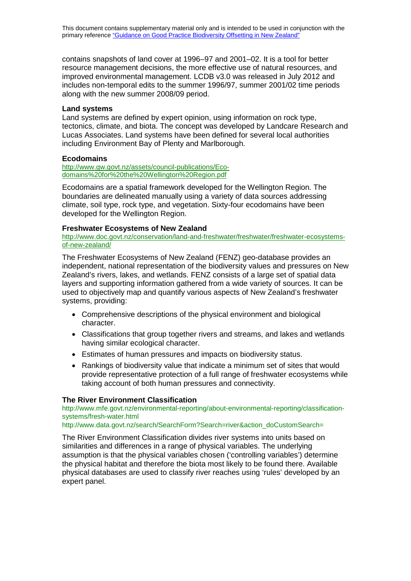contains snapshots of land cover at 1996–97 and 2001–02. It is a tool for better resource management decisions, the more effective use of natural resources, and improved environmental management. LCDB v3.0 was released in July 2012 and includes non-temporal edits to the summer 1996/97, summer 2001/02 time periods along with the new summer 2008/09 period.

#### **Land systems**

Land systems are defined by expert opinion, using information on rock type, tectonics, climate, and biota. The concept was developed by Landcare Research and Lucas Associates. Land systems have been defined for several local authorities including Environment Bay of Plenty and Marlborough.

#### **Ecodomains**

[http://www.gw.govt.nz/assets/council-publications/Eco](http://www.gw.govt.nz/assets/council-publications/Eco-domains%20for%20the%20Wellington%20Region.pdf)[domains%20for%20the%20Wellington%20Region.pdf](http://www.gw.govt.nz/assets/council-publications/Eco-domains%20for%20the%20Wellington%20Region.pdf)

Ecodomains are a spatial framework developed for the Wellington Region. The boundaries are delineated manually using a variety of data sources addressing climate, soil type, rock type, and vegetation. Sixty-four ecodomains have been developed for the Wellington Region.

#### **Freshwater Ecosystems of New Zealand**

[http://www.doc.govt.nz/conservation/land-and-freshwater/freshwater/freshwater-ecosystems](http://www.doc.govt.nz/conservation/land-and-freshwater/freshwater/freshwater-ecosystems-of-new-zealand/)[of-new-zealand/](http://www.doc.govt.nz/conservation/land-and-freshwater/freshwater/freshwater-ecosystems-of-new-zealand/)

The Freshwater Ecosystems of New Zealand (FENZ) geo-database provides an independent, national representation of the biodiversity values and pressures on New Zealand's rivers, lakes, and wetlands. FENZ consists of a large set of spatial data layers and supporting information gathered from a wide variety of sources. It can be used to objectively map and quantify various aspects of New Zealand's freshwater systems, providing:

- Comprehensive descriptions of the physical environment and biological character.
- Classifications that group together rivers and streams, and lakes and wetlands having similar ecological character.
- Estimates of human pressures and impacts on biodiversity status.
- Rankings of biodiversity value that indicate a minimum set of sites that would provide representative protection of a full range of freshwater ecosystems while taking account of both human pressures and connectivity.

#### **The River Environment Classification**

[http://www.mfe.govt.nz/environmental-reporting/about-environmental-reporting/classification](http://www.mfe.govt.nz/environmental-reporting/about-environmental-reporting/classification-systems/fresh-water.html)[systems/fresh-water.html](http://www.mfe.govt.nz/environmental-reporting/about-environmental-reporting/classification-systems/fresh-water.html)

[http://www.data.govt.nz/search/SearchForm?Search=river&action\\_doCustomSearch=](http://www.data.govt.nz/search/SearchForm?Search=river&action_doCustomSearch=)

The River Environment Classification divides river systems into units based on similarities and differences in a range of physical variables. The underlying assumption is that the physical variables chosen ('controlling variables') determine the physical habitat and therefore the biota most likely to be found there. Available physical databases are used to classify river reaches using 'rules' developed by an expert panel.